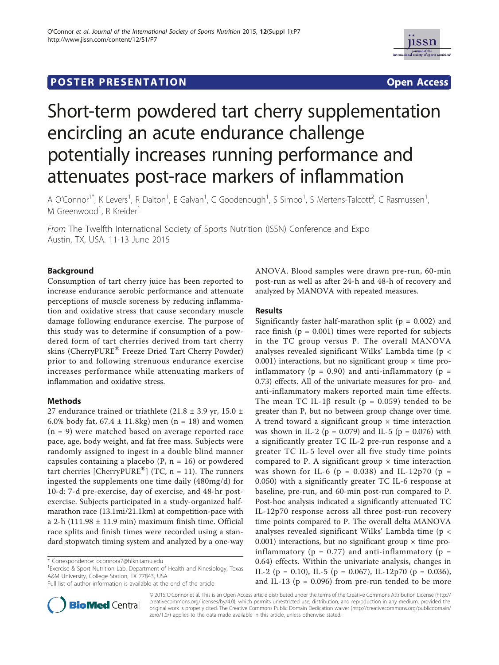



# Short-term powdered tart cherry supplementation encircling an acute endurance challenge potentially increases running performance and attenuates post-race markers of inflammation

A O'Connor<sup>1\*</sup>, K Levers<sup>1</sup>, R Dalton<sup>1</sup>, E Galvan<sup>1</sup>, C Goodenough<sup>1</sup>, S Simbo<sup>1</sup>, S Mertens-Talcott<sup>2</sup>, C Rasmussen<sup>1</sup> , M Greenwood<sup>1</sup>, R Kreider<sup>1</sup>

From The Twelfth International Society of Sports Nutrition (ISSN) Conference and Expo Austin, TX, USA. 11-13 June 2015

# Background

Consumption of tart cherry juice has been reported to increase endurance aerobic performance and attenuate perceptions of muscle soreness by reducing inflammation and oxidative stress that cause secondary muscle damage following endurance exercise. The purpose of this study was to determine if consumption of a powdered form of tart cherries derived from tart cherry skins (CherryPURE® Freeze Dried Tart Cherry Powder) prior to and following strenuous endurance exercise increases performance while attenuating markers of inflammation and oxidative stress.

# Methods

27 endurance trained or triathlete (21.8  $\pm$  3.9 yr, 15.0  $\pm$ 6.0% body fat,  $67.4 \pm 11.8$ kg) men (n = 18) and women (n = 9) were matched based on average reported race pace, age, body weight, and fat free mass. Subjects were randomly assigned to ingest in a double blind manner capsules containing a placebo ( $P$ ,  $n = 16$ ) or powdered tart cherries [CherryPURE<sup>®</sup>] (TC,  $n = 11$ ). The runners ingested the supplements one time daily (480mg/d) for 10-d: 7-d pre-exercise, day of exercise, and 48-hr postexercise. Subjects participated in a study-organized halfmarathon race (13.1mi/21.1km) at competition-pace with a 2-h (111.98  $\pm$  11.9 min) maximum finish time. Official race splits and finish times were recorded using a standard stopwatch timing system and analyzed by a one-way

<sup>1</sup> Exercise & Sport Nutrition Lab, Department of Health and Kinesiology, Texas A&M University, College Station, TX 77843, USA

Full list of author information is available at the end of the article



ANOVA. Blood samples were drawn pre-run, 60-min post-run as well as after 24-h and 48-h of recovery and analyzed by MANOVA with repeated measures.

## Results

Significantly faster half-marathon split ( $p = 0.002$ ) and race finish ( $p = 0.001$ ) times were reported for subjects in the TC group versus P. The overall MANOVA analyses revealed significant Wilks' Lambda time (p < 0.001) interactions, but no significant group  $\times$  time proinflammatory ( $p = 0.90$ ) and anti-inflammatory ( $p =$ 0.73) effects. All of the univariate measures for pro- and anti-inflammatory makers reported main time effects. The mean TC IL-1 $\beta$  result (p = 0.059) tended to be greater than P, but no between group change over time. A trend toward a significant group  $\times$  time interaction was shown in IL-2 ( $p = 0.079$ ) and IL-5 ( $p = 0.076$ ) with a significantly greater TC IL-2 pre-run response and a greater TC IL-5 level over all five study time points compared to P. A significant group  $\times$  time interaction was shown for IL-6 ( $p = 0.038$ ) and IL-12p70 ( $p =$ 0.050) with a significantly greater TC IL-6 response at baseline, pre-run, and 60-min post-run compared to P. Post-hoc analysis indicated a significantly attenuated TC IL-12p70 response across all three post-run recovery time points compared to P. The overall delta MANOVA analyses revealed significant Wilks' Lambda time (p < 0.001) interactions, but no significant group  $\times$  time proinflammatory ( $p = 0.77$ ) and anti-inflammatory ( $p =$ 0.64) effects. Within the univariate analysis, changes in IL-2 (p = 0.10), IL-5 (p = 0.067), IL-12p70 (p = 0.036), and IL-13 ( $p = 0.096$ ) from pre-run tended to be more

© 2015 O'Connor et al. This is an Open Access article distributed under the terms of the Creative Commons Attribution License (http:// creativecommons.org/licenses/by/4.0), which permits unrestricted use, distribution, and reproduction in any medium, provided the original work is properly cited. The Creative Commons Public Domain Dedication waiver (http://creativecommons.org/publicdomain/ zero/1.0/) applies to the data made available in this article, unless otherwise stated.

<sup>\*</sup> Correspondence: oconnora7@hlkn.tamu.edu